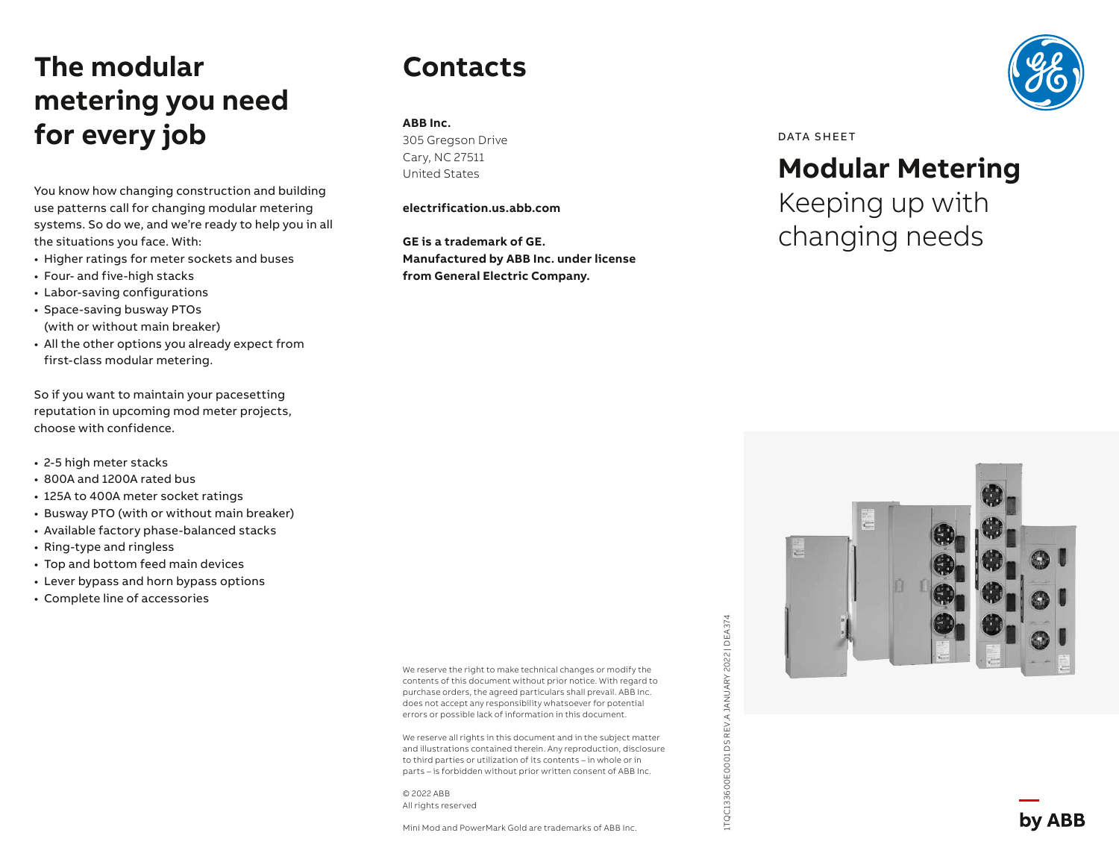# **The modular metering you need for every job**

You know how changing construction and building use patterns call for changing modular metering systems. So do we, and we're ready to help you in all the situations you face. With:

- Higher ratings for meter sockets and buses
- Four- and five-high stacks
- Labor-saving configurations
- Space-saving busway PTOs (with or without main breaker)
- All the other options you already expect from first-class modular metering.

So if you want to maintain your pacesetting reputation in upcoming mod meter projects, choose with confidence.

- 2-5 high meter stacks
- 800A and 1200A rated bus
- 125A to 400A meter socket ratings
- Busway PTO (with or without main breaker)
- Available factory phase-balanced stacks
- Ring-type and ringless
- Top and bottom feed main devices
- Lever bypass and horn bypass options
- Complete line of accessories

We reserve the right to make technical changes or modify the contents of this document without prior notice. With regard to purchase orders, the agreed particulars shall prevail. ABB Inc. does not accept any responsibility whatsoever for potential errors or possible lack of information in this document.

1TQC133600E0001 DS REV.A JANUARY 2022 | DEA374

ITQC133600E0001DSREV.AJANUARY 2022 | DEA374

We reserve all rights in this document and in the subject matter and illustrations contained therein. Any reproduction, disclosure to third parties or utilization of its contents – in whole or in parts – is forbidden without prior written consent of ABB Inc.

© 2022 ABB All rights reserved

**Contacts**

305 Gregson Drive Cary, NC 27511 United States

**electrification.us.abb.com**

**Manufactured by ABB Inc. under license**

**from General Electric Company.**

**GE is a trademark of GE.**

**ABB Inc.** 

Mini Mod and PowerMark Gold are trademarks of ABB Inc.



#### DATA SHEET

#### **Modular Metering**

Keeping up with changing needs